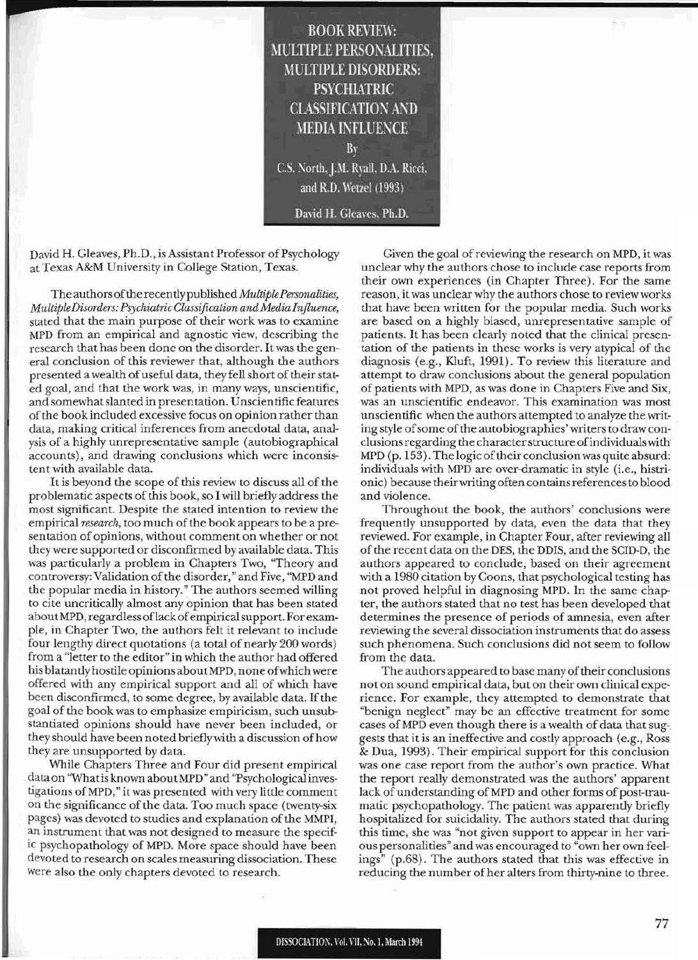**BOOK REVIEW:** MULTIPLE PERSONALITIES. **MULTIPLE DISORDERS: PSYCHIATRIC CLASSIFICATION AND MEDIA INFLUENCE** By C.S. North, J.M. Ryall, D.A. Ricci, and R.D. Wetzel (1993) David H. Gleaves, Ph.D.

David H. Gleaves, Ph.D., is Assistant Professor of Psychology at Texas A&M University in College Station, Texas.

The authors ofthe recentlypublished *MultiplePersonalities, MultipleDisorders: PsychiatricClassification andMedia Influence,* stated that the main purpose of their work was to examine MPD from an empirical and agnostic view, describing the research that has been done on the disorder. Itwas the general conclusion of this reviewer that, although the authors presented a wealth of useful data, they fell short of their stated goal, and that the work was, in many ways, unscientific, and somewhat slanted in presentation. Unscientific features ofthe book included excessive focus on opinion rather than data, making critical inferences from anecdotal data, analysis of a highly unrepresentative sample (autobiographical accounts), and drawing conclusions which were inconsistent with available data.

It is beyond the scope of this review to discuss all of the problematic aspects of this book, so I will briefly address the most significant. Despite the stated intention to review the empirical *research*, too much of the book appears to be a presentation of opinions, without comment on whether or not they were supported or disconfirmed by available data. This was particularly a problem in Chapters Two, "Theory and controversy: Validation ofthe disorder," and Five, "MPD and the popular media in history." The authors seemed willing to cite uncritically almost any opinion that has been stated aboutMPD, regardless oflack ofempiricalsupport. For exampIe, in Chapter Two, the authors felt it relevant to include four lengthy direct quotations (a total of nearly 200 words) from a "letter to the editor" in which the author had offered his blatantly hostile opinions about MPD, none of which were offered with any empirical support and all of which have been disconfirmed, to some degree, by available data. If the goal of the book was to emphasize empiricism, such unsubstantiated opinions should have never been included, or they should have been noted brieflywith a discussion ofhow they are unsupported by data.

While Chapters Three and Four did present empirical data on "Whatis known aboutMPD" and "Psychological investigations ofMPD," it was presented with very little comment on the significance of the data. Too much space (twenty-six pages) was devoted to studies and explanation of the MMPI, an instrument that was not designed to measure the specific psychopathology of MPD. More space should have been devoted to research on scales measuring dissociation. These were also the only chapters devoted to research.

Given the goal of reviewing the research on MPD, it was unclear why the authors chose to include case reports from their own experiences (in Chapter Three). For the same reason, itwas unclear why the authors chose to review works that have been written for the popular media. Such works are based on a highly biased, unrepresentative sample of patients. It has been clearly noted that the clinical presentation of the patients in these works is very atypical of the diagnosis (e.g., Kluft, 1991). To review this literature and attempt to draw conclusions about the general population of patients with MPD, as was done in Chapters Five and Six, was an unscientific endeavor. This examination was most unscientific when the authors attempted to analyze the writ- . ing style of some of the autobiographies' writers to draw conclusionsregarding the characterstructure ofindividualswith MPD (p. 153). The logic oftheir conclusionwas quite absurd: individuals with MPD are over-dramatic in style (i.e., histrionic) because theirwriting often containsreferencesto blood and violence.

Throughout the book, the authors' conclusions were frequently unsupported by data, even the data that they reviewed. For example, in Chapter Four, after reviewing all ofthe recent data on the DES, the DDIS, and the SCID-D, the authors appeared to conclude, based on their agreement with a 1980 citation by Coons, that psychological testing has not proved helpful in diagnosing MPD. In the same chapter, the authors stated that no test has been developed that determines the presence of periods of amnesia, even after reviewing the several dissociation instruments that do assess such phenomena. Such conclusions did not seem to follow from the data.

The authors appeared to base many of their conclusions not on sound empirical data, but on their own clinical experience. For example, they attempted to demonstrate that "benign neglect" may be an effective treatment for some cases of MPD even though there is a wealth of data that suggests that it is an ineffective and costly approach (e.g., Ross & Dua, 1993). Their empirical support for this conclusion was one case report from the author's own practice. What the report really demonstrated was the authors' apparent lack of understanding of MPD and other forms of post-traumatic psychopathology. The patient was apparently briefly hospitalized for suicidality. The authors stated that during this time, she was "not given support to appear in her various personalities" andwas encouraged to "own her own feelings" (p.68). The authors stated that this was effective in reducing the number of her alters from thirty-nine to three.